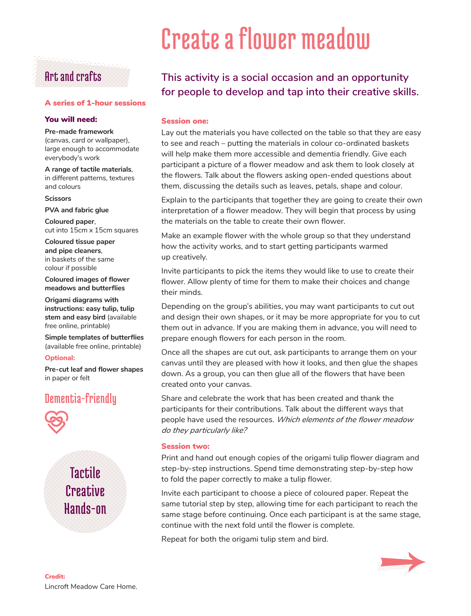# Art and crafts

# A series of 1-hour sessions

## You will need:

### **Pre-made framework**

(canvas, card or wallpaper), large enough to accommodate everybody's work

**A range of tactile materials**, in different patterns, textures and colours

#### **Scissors**

**PVA and fabric glue**

**Coloured paper**, cut into 15cm x 15cm squares

**Coloured tissue paper and pipe cleaners**, in baskets of the same colour if possible

**Coloured images of flower meadows and butterflies**

**Origami diagrams with instructions: easy tulip, tulip stem and easy bird** (available free online, printable)

**Simple templates of butterflies**  (available free online, printable)

## **Optional:**

**Pre-cut leaf and flower shapes**  in paper or felt

# Dementia-friendly



**Tactile Creative** Hands-on

# Create a flower meadow

# **This activity is a social occasion and an opportunity for people to develop and tap into their creative skills.**

# Session one:

Lay out the materials you have collected on the table so that they are easy to see and reach – putting the materials in colour co-ordinated baskets will help make them more accessible and dementia friendly. Give each participant a picture of a flower meadow and ask them to look closely at the flowers. Talk about the flowers asking open-ended questions about them, discussing the details such as leaves, petals, shape and colour.

Explain to the participants that together they are going to create their own interpretation of a flower meadow. They will begin that process by using the materials on the table to create their own flower.

Make an example flower with the whole group so that they understand how the activity works, and to start getting participants warmed up creatively.

Invite participants to pick the items they would like to use to create their flower. Allow plenty of time for them to make their choices and change their minds.

Depending on the group's abilities, you may want participants to cut out and design their own shapes, or it may be more appropriate for you to cut them out in advance. If you are making them in advance, you will need to prepare enough flowers for each person in the room.

Once all the shapes are cut out, ask participants to arrange them on your canvas until they are pleased with how it looks, and then glue the shapes down. As a group, you can then glue all of the flowers that have been created onto your canvas.

Share and celebrate the work that has been created and thank the participants for their contributions. Talk about the different ways that people have used the resources. *Which elements of the flower meadow do they particularly like?*

## Session two:

Print and hand out enough copies of the origami tulip flower diagram and step-by-step instructions. Spend time demonstrating step-by-step how to fold the paper correctly to make a tulip flower.

Invite each participant to choose a piece of coloured paper. Repeat the same tutorial step by step, allowing time for each participant to reach the same stage before continuing. Once each participant is at the same stage, continue with the next fold until the flower is complete.

Repeat for both the origami tulip stem and bird.